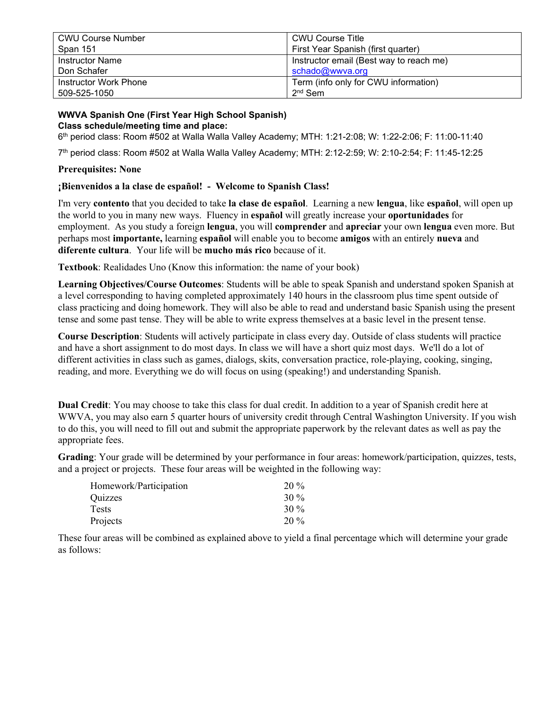| <b>CWU Course Number</b> | <b>CWU Course Title</b>                 |
|--------------------------|-----------------------------------------|
| Span 151                 | First Year Spanish (first quarter)      |
| <b>Instructor Name</b>   | Instructor email (Best way to reach me) |
| Don Schafer              | schado@wwva.org                         |
| Instructor Work Phone    | Term (info only for CWU information)    |
| 509-525-1050             | $2nd$ Sem                               |

#### **WWVA Spanish One (First Year High School Spanish) Class schedule/meeting time and place:**

6th period class: Room #502 at Walla Walla Valley Academy; MTH: 1:21-2:08; W: 1:22-2:06; F: 11:00-11:40

7th period class: Room #502 at Walla Walla Valley Academy; MTH: 2:12-2:59; W: 2:10-2:54; F: 11:45-12:25

#### **Prerequisites: None**

### **¡Bienvenidos a la clase de español! - Welcome to Spanish Class!**

I'm very **contento** that you decided to take **la clase de español**. Learning a new **lengua**, like **español**, will open up the world to you in many new ways. Fluency in **español** will greatly increase your **oportunidades** for employment. As you study a foreign **lengua**, you will **comprender** and **apreciar** your own **lengua** even more. But perhaps most **importante,** learning **español** will enable you to become **amigos** with an entirely **nueva** and **diferente cultura**. Your life will be **mucho más rico** because of it.

**Textbook**: Realidades Uno (Know this information: the name of your book)

**Learning Objectives/Course Outcomes**: Students will be able to speak Spanish and understand spoken Spanish at a level corresponding to having completed approximately 140 hours in the classroom plus time spent outside of class practicing and doing homework. They will also be able to read and understand basic Spanish using the present tense and some past tense. They will be able to write express themselves at a basic level in the present tense.

**Course Description**: Students will actively participate in class every day. Outside of class students will practice and have a short assignment to do most days. In class we will have a short quiz most days. We'll do a lot of different activities in class such as games, dialogs, skits, conversation practice, role-playing, cooking, singing, reading, and more. Everything we do will focus on using (speaking!) and understanding Spanish.

**Dual Credit**: You may choose to take this class for dual credit. In addition to a year of Spanish credit here at WWVA, you may also earn 5 quarter hours of university credit through Central Washington University. If you wish to do this, you will need to fill out and submit the appropriate paperwork by the relevant dates as well as pay the appropriate fees.

**Grading**: Your grade will be determined by your performance in four areas: homework/participation, quizzes, tests, and a project or projects. These four areas will be weighted in the following way:

| Homework/Participation | $20\%$ |
|------------------------|--------|
| Quizzes                | $30\%$ |
| <b>Tests</b>           | $30\%$ |
| Projects               | $20\%$ |

These four areas will be combined as explained above to yield a final percentage which will determine your grade as follows: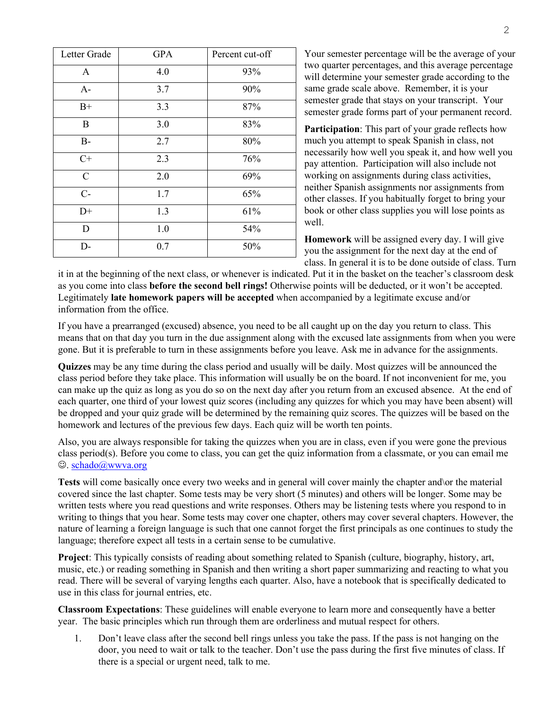| Letter Grade | <b>GPA</b> | Percent cut-off |
|--------------|------------|-----------------|
| A            | 4.0        | 93%             |
| $A-$         | 3.7        | 90%             |
| $B+$         | 3.3        | 87%             |
| $\bf{B}$     | 3.0        | 83%             |
| $B-$         | 2.7        | 80%             |
| $C+$         | 2.3        | 76%             |
| $\mathbf C$  | 2.0        | 69%             |
| $C-$         | 1.7        | 65%             |
| $D+$         | 1.3        | 61%             |
| D            | 1.0        | 54%             |
| D-           | 0.7        | 50%             |

Your semester percentage will be the average of your two quarter percentages, and this average percentage will determine your semester grade according to the same grade scale above. Remember, it is your semester grade that stays on your transcript. Your semester grade forms part of your permanent record.

**Participation**: This part of your grade reflects how much you attempt to speak Spanish in class, not necessarily how well you speak it, and how well you pay attention. Participation will also include not working on assignments during class activities, neither Spanish assignments nor assignments from other classes. If you habitually forget to bring your book or other class supplies you will lose points as well.

**Homework** will be assigned every day. I will give you the assignment for the next day at the end of class. In general it is to be done outside of class. Turn

it in at the beginning of the next class, or whenever is indicated. Put it in the basket on the teacher's classroom desk as you come into class **before the second bell rings!** Otherwise points will be deducted, or it won't be accepted. Legitimately **late homework papers will be accepted** when accompanied by a legitimate excuse and/or information from the office.

If you have a prearranged (excused) absence, you need to be all caught up on the day you return to class. This means that on that day you turn in the due assignment along with the excused late assignments from when you were gone. But it is preferable to turn in these assignments before you leave. Ask me in advance for the assignments.

**Quizzes** may be any time during the class period and usually will be daily. Most quizzes will be announced the class period before they take place. This information will usually be on the board. If not inconvenient for me, you can make up the quiz as long as you do so on the next day after you return from an excused absence. At the end of each quarter, one third of your lowest quiz scores (including any quizzes for which you may have been absent) will be dropped and your quiz grade will be determined by the remaining quiz scores. The quizzes will be based on the homework and lectures of the previous few days. Each quiz will be worth ten points.

Also, you are always responsible for taking the quizzes when you are in class, even if you were gone the previous class period(s). Before you come to class, you can get the quiz information from a classmate, or you can email me  $\odot$ . [schado@wwva.org](mailto:schado@wwva.org)

**Tests** will come basically once every two weeks and in general will cover mainly the chapter and\or the material covered since the last chapter. Some tests may be very short (5 minutes) and others will be longer. Some may be written tests where you read questions and write responses. Others may be listening tests where you respond to in writing to things that you hear. Some tests may cover one chapter, others may cover several chapters. However, the nature of learning a foreign language is such that one cannot forget the first principals as one continues to study the language; therefore expect all tests in a certain sense to be cumulative.

**Project**: This typically consists of reading about something related to Spanish (culture, biography, history, art, music, etc.) or reading something in Spanish and then writing a short paper summarizing and reacting to what you read. There will be several of varying lengths each quarter. Also, have a notebook that is specifically dedicated to use in this class for journal entries, etc.

**Classroom Expectations**: These guidelines will enable everyone to learn more and consequently have a better year. The basic principles which run through them are orderliness and mutual respect for others.

1. Don't leave class after the second bell rings unless you take the pass. If the pass is not hanging on the door, you need to wait or talk to the teacher. Don't use the pass during the first five minutes of class. If there is a special or urgent need, talk to me.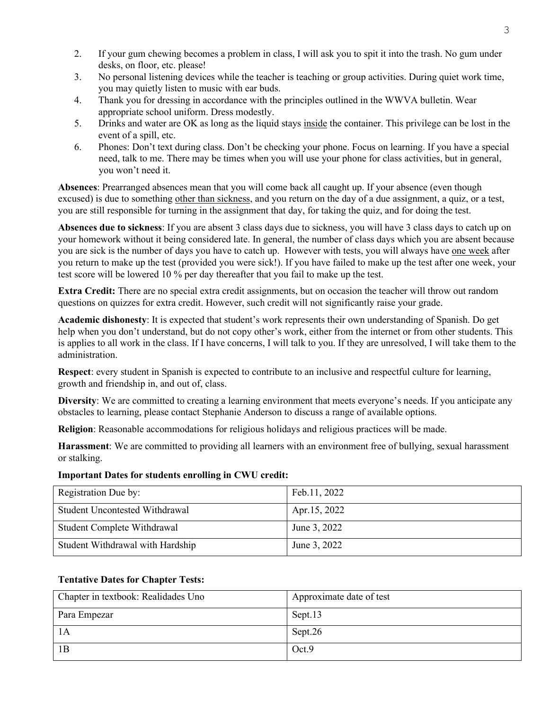- 2. If your gum chewing becomes a problem in class, I will ask you to spit it into the trash. No gum under desks, on floor, etc. please!
- 3. No personal listening devices while the teacher is teaching or group activities. During quiet work time, you may quietly listen to music with ear buds.
- 4. Thank you for dressing in accordance with the principles outlined in the WWVA bulletin. Wear appropriate school uniform. Dress modestly.
- 5. Drinks and water are OK as long as the liquid stays inside the container. This privilege can be lost in the event of a spill, etc.
- 6. Phones: Don't text during class. Don't be checking your phone. Focus on learning. If you have a special need, talk to me. There may be times when you will use your phone for class activities, but in general, you won't need it.

**Absences**: Prearranged absences mean that you will come back all caught up. If your absence (even though excused) is due to something other than sickness, and you return on the day of a due assignment, a quiz, or a test, you are still responsible for turning in the assignment that day, for taking the quiz, and for doing the test.

**Absences due to sickness**: If you are absent 3 class days due to sickness, you will have 3 class days to catch up on your homework without it being considered late. In general, the number of class days which you are absent because you are sick is the number of days you have to catch up. However with tests, you will always have one week after you return to make up the test (provided you were sick!). If you have failed to make up the test after one week, your test score will be lowered 10 % per day thereafter that you fail to make up the test.

**Extra Credit:** There are no special extra credit assignments, but on occasion the teacher will throw out random questions on quizzes for extra credit. However, such credit will not significantly raise your grade.

**Academic dishonesty**: It is expected that student's work represents their own understanding of Spanish. Do get help when you don't understand, but do not copy other's work, either from the internet or from other students. This is applies to all work in the class. If I have concerns, I will talk to you. If they are unresolved, I will take them to the administration.

**Respect**: every student in Spanish is expected to contribute to an inclusive and respectful culture for learning, growth and friendship in, and out of, class.

**Diversity**: We are committed to creating a learning environment that meets everyone's needs. If you anticipate any obstacles to learning, please contact Stephanie Anderson to discuss a range of available options.

**Religion**: Reasonable accommodations for religious holidays and religious practices will be made.

**Harassment**: We are committed to providing all learners with an environment free of bullying, sexual harassment or stalking.

#### **Important Dates for students enrolling in CWU credit:**

| Registration Due by:                  | Feb.11, 2022 |
|---------------------------------------|--------------|
| <b>Student Uncontested Withdrawal</b> | Apr.15, 2022 |
| Student Complete Withdrawal           | June 3, 2022 |
| Student Withdrawal with Hardship      | June 3, 2022 |

## **Tentative Dates for Chapter Tests:**

| Chapter in textbook: Realidades Uno | Approximate date of test |
|-------------------------------------|--------------------------|
| Para Empezar                        | Sept.13                  |
| 1A                                  | Sept.26                  |
| 1B                                  | Oct.9                    |